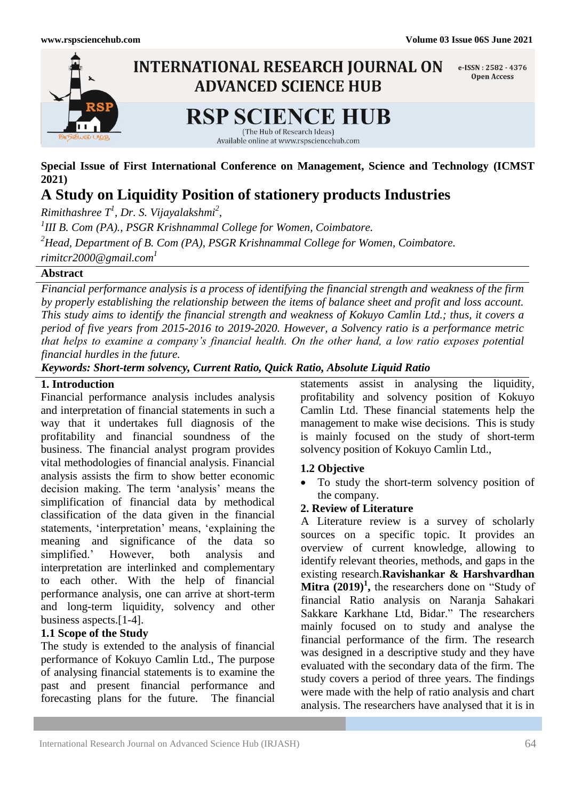

**Special Issue of First International Conference on Management, Science and Technology (ICMST 2021)**

# **A Study on Liquidity Position of stationery products Industries**

*Rimithashree T<sup>1</sup> , Dr. S. Vijayalakshmi<sup>2</sup> ,*

*1 III B. Com (PA)., PSGR Krishnammal College for Women, Coimbatore. <sup>2</sup>Head, Department of B. Com (PA), PSGR Krishnammal College for Women, Coimbatore. rimitcr2000@gmail.com<sup>1</sup>*

# **Abstract**

*Financial performance analysis is a process of identifying the financial strength and weakness of the firm by properly establishing the relationship between the items of balance sheet and profit and loss account. This study aims to identify the financial strength and weakness of Kokuyo Camlin Ltd.; thus, it covers a period of five years from 2015-2016 to 2019-2020. However, a Solvency ratio is a performance metric that helps to examine a company's financial health. On the other hand, a low ratio exposes potential financial hurdles in the future.* 

*Keywords: Short-term solvency, Current Ratio, Quick Ratio, Absolute Liquid Ratio*

### **1. Introduction**

Financial performance analysis includes analysis and interpretation of financial statements in such a way that it undertakes full diagnosis of the profitability and financial soundness of the business. The financial analyst program provides vital methodologies of financial analysis. Financial analysis assists the firm to show better economic decision making. The term 'analysis' means the simplification of financial data by methodical classification of the data given in the financial statements, 'interpretation' means, 'explaining the meaning and significance of the data so simplified." However, both analysis and interpretation are interlinked and complementary to each other. With the help of financial performance analysis, one can arrive at short-term and long-term liquidity, solvency and other business aspects.[1-4].

# **1.1 Scope of the Study**

The study is extended to the analysis of financial performance of Kokuyo Camlin Ltd., The purpose of analysing financial statements is to examine the past and present financial performance and forecasting plans for the future. The financial

statements assist in analysing the liquidity, profitability and solvency position of Kokuyo Camlin Ltd. These financial statements help the management to make wise decisions. This is study is mainly focused on the study of short-term solvency position of Kokuyo Camlin Ltd.,

### **1.2 Objective**

• To study the short-term solvency position of the company.

### **2. Review of Literature**

A Literature review is a survey of scholarly sources on a specific topic. It provides an overview of current knowledge, allowing to identify relevant theories, methods, and gaps in the existing research.**Ravishankar & Harshvardhan Mitra**  $(2019)^1$ , the researchers done on "Study of financial Ratio analysis on Naranja Sahakari Sakkare Karkhane Ltd, Bidar." The researchers mainly focused on to study and analyse the financial performance of the firm. The research was designed in a descriptive study and they have evaluated with the secondary data of the firm. The study covers a period of three years. The findings were made with the help of ratio analysis and chart analysis. The researchers have analysed that it is in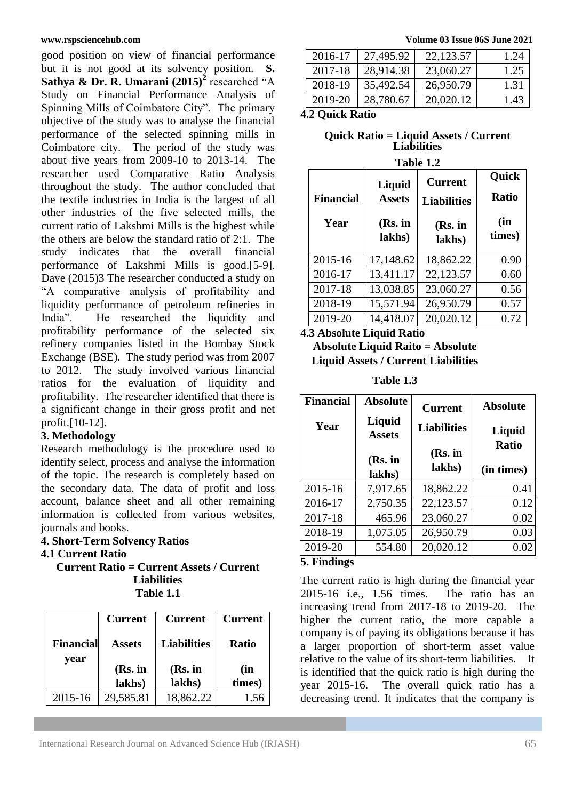good position on view of financial performance but it is not good at its solvency position. **S. Sathya & Dr. R. Umarani (2015)<sup>2</sup>** researched "A Study on Financial Performance Analysis of Spinning Mills of Coimbatore City". The primary objective of the study was to analyse the financial performance of the selected spinning mills in Coimbatore city. The period of the study was about five years from 2009-10 to 2013-14. The researcher used Comparative Ratio Analysis throughout the study. The author concluded that the textile industries in India is the largest of all other industries of the five selected mills, the current ratio of Lakshmi Mills is the highest while the others are below the standard ratio of 2:1. The study indicates that the overall financial performance of Lakshmi Mills is good.[5-9]. Dave (2015)3 The researcher conducted a study on "A comparative analysis of profitability and liquidity performance of petroleum refineries in India". He researched the liquidity and profitability performance of the selected six refinery companies listed in the Bombay Stock Exchange (BSE). The study period was from 2007 to 2012. The study involved various financial ratios for the evaluation of liquidity and profitability. The researcher identified that there is a significant change in their gross profit and net profit.[10-12].

# **3. Methodology**

Research methodology is the procedure used to identify select, process and analyse the information of the topic. The research is completely based on the secondary data. The data of profit and loss account, balance sheet and all other remaining information is collected from various websites, journals and books.

# **4. Short-Term Solvency Ratios**

### **4.1 Current Ratio**

**Current Ratio = Current Assets / Current Liabilities Table 1.1**

|                  | <b>Current</b> | <b>Current</b>     | <b>Current</b> |
|------------------|----------------|--------------------|----------------|
| <b>Financial</b> | <b>Assets</b>  | <b>Liabilities</b> | <b>Ratio</b>   |
| year             | (Rs. in        | (Rs. in            | (in            |
|                  | lakhs)         | lakhs)             | times)         |
| 2015-16          | 29,585.81      | 18,862.22          | 1.56           |

**www.rspsciencehub.com Volume 03 Issue 06S June 2021**

| 23,060.27<br>28,914.38 | 1.25      |
|------------------------|-----------|
|                        |           |
| 26,950.79              | 1.31      |
| 20,020.12              | 1.43      |
| 28,780.67              | 35,492.54 |

#### **4.2 Quick Ratio**

**Quick Ratio = Liquid Assets / Current Liabilities**

| 'able |  |
|-------|--|
|       |  |

| <b>Financial</b><br>Year | Liquid<br><b>Assets</b><br>(Rs. in<br>lakhs) | <b>Current</b><br><b>Liabilities</b><br>$(Rs.$ in<br>lakhs) | Quick<br><b>Ratio</b><br>(in<br>times) |
|--------------------------|----------------------------------------------|-------------------------------------------------------------|----------------------------------------|
| 2015-16                  | 17,148.62                                    | 18,862.22                                                   | 0.90                                   |
| 2016-17                  | 13,411.17                                    | 22,123.57                                                   | 0.60                                   |
| 2017-18                  | 13,038.85                                    | 23,060.27                                                   | 0.56                                   |
| 2018-19                  | 15,571.94                                    | 26,950.79                                                   | 0.57                                   |
| 2019-20                  | 14,418.07                                    | 20,020.12                                                   | 0.72                                   |

### **4.3 Absolute Liquid Ratio**

**Absolute Liquid Raito = Absolute Liquid Assets / Current Liabilities**

**Table 1.3**

| <b>Financial</b> | <b>Absolute</b>         | <b>Current</b>     | <b>Absolute</b>            |
|------------------|-------------------------|--------------------|----------------------------|
| Year             | Liquid<br><b>Assets</b> | <b>Liabilities</b> | Liquid                     |
|                  | $(Rs.$ in<br>lakhs)     | (Rs. in<br>lakhs)  | <b>Ratio</b><br>(in times) |
| 2015-16          | 7,917.65                | 18,862.22          | 0.41                       |
| 2016-17          | 2,750.35                | 22,123.57          | 0.12                       |
| 2017-18          | 465.96                  | 23,060.27          | 0.02                       |
| 2018-19          | 1,075.05                | 26,950.79          | 0.03                       |
| 2019-20          | 554.80                  | 20,020.12          | 0.02                       |

### **5. Findings**

The current ratio is high during the financial year 2015-16 i.e., 1.56 times. The ratio has an increasing trend from 2017-18 to 2019-20. The higher the current ratio, the more capable a company is of paying its obligations because it has a larger proportion of short-term asset value relative to the value of its short-term liabilities. It is identified that the quick ratio is high during the year 2015-16. The overall quick ratio has a decreasing trend. It indicates that the company is